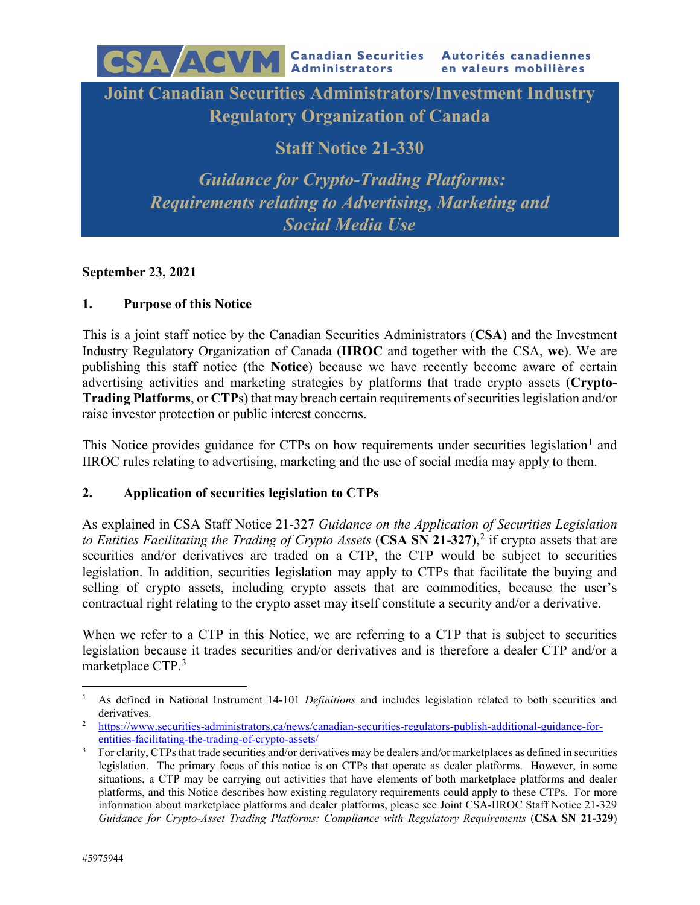**Joint Canadian Securities Administrators/Investment Industry Regulatory Organization of Canada**

**Staff Notice 21-330**

*Guidance for Crypto-Trading Platforms: Requirements relating to Advertising, Marketing and Social Media Use*

## **September 23, 2021**

## **1. Purpose of this Notice**

CSA AGVM

This is a joint staff notice by the Canadian Securities Administrators (**CSA**) and the Investment Industry Regulatory Organization of Canada (**IIROC** and together with the CSA, **we**). We are publishing this staff notice (the **Notice**) because we have recently become aware of certain advertising activities and marketing strategies by platforms that trade crypto assets (**Crypto-Trading Platforms**, or **CTP**s) that may breach certain requirements of securities legislation and/or raise investor protection or public interest concerns.

This Notice provides guidance for CTPs on how requirements under securities legislation<sup>[1](#page-0-0)</sup> and IIROC rules relating to advertising, marketing and the use of social media may apply to them.

# **2. Application of securities legislation to CTPs**

As explained in CSA Staff Notice 21-327 *Guidance on the Application of Securities Legislation*  to Entities Facilitating the Trading of Crypto Assets (CSA SN [2](#page-0-1)1-327),<sup>2</sup> if crypto assets that are securities and/or derivatives are traded on a CTP, the CTP would be subject to securities legislation. In addition, securities legislation may apply to CTPs that facilitate the buying and selling of crypto assets, including crypto assets that are commodities, because the user's contractual right relating to the crypto asset may itself constitute a security and/or a derivative.

When we refer to a CTP in this Notice, we are referring to a CTP that is subject to securities legislation because it trades securities and/or derivatives and is therefore a dealer CTP and/or a marketplace CTP.[3](#page-0-2)

<span id="page-0-0"></span> <sup>1</sup> As defined in National Instrument 14-101 *Definitions* and includes legislation related to both securities and derivatives.<br><sup>2</sup> [https://www.securities-administrators.ca/news/canadian-securities-regulators-publish-additional-guidance-for-](https://www.securities-administrators.ca/news/canadian-securities-regulators-publish-additional-guidance-for-entities-facilitating-the-trading-of-crypto-assets/)

<span id="page-0-1"></span>

<span id="page-0-2"></span>entities-facilitating-the-trading-of-crypto-assets/<br><sup>3</sup> For clarity, CTPs that trade securities and/or derivatives may be dealers and/or marketplaces as defined in securities legislation. The primary focus of this notice is on CTPs that operate as dealer platforms. However, in some situations, a CTP may be carrying out activities that have elements of both marketplace platforms and dealer platforms, and this Notice describes how existing regulatory requirements could apply to these CTPs. For more information about marketplace platforms and dealer platforms, please see Joint CSA-IIROC Staff Notice 21-329 *Guidance for Crypto-Asset Trading Platforms: Compliance with Regulatory Requirements* (**CSA SN 21-329**)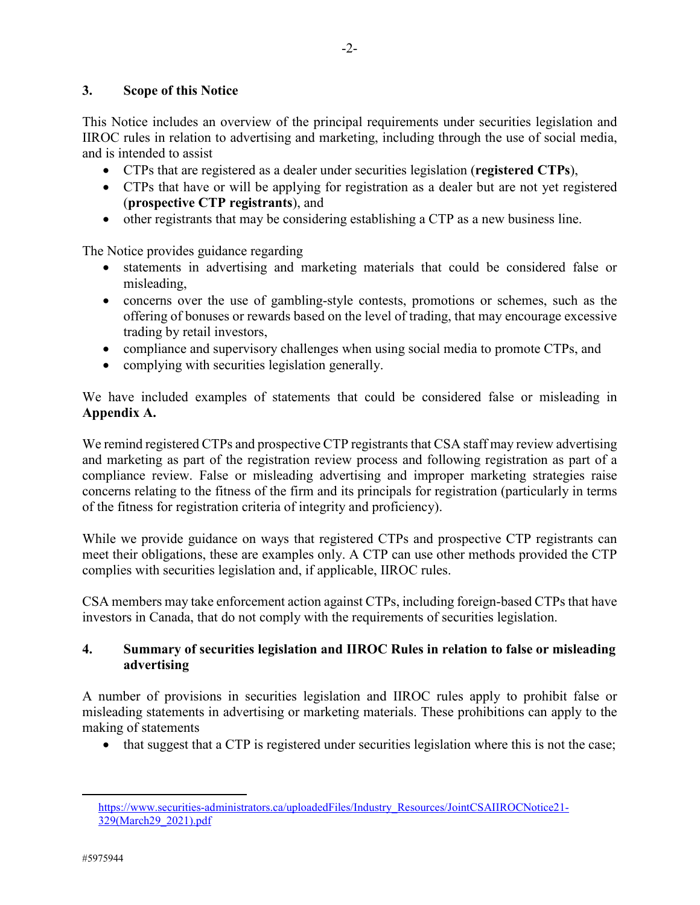## **3. Scope of this Notice**

This Notice includes an overview of the principal requirements under securities legislation and IIROC rules in relation to advertising and marketing, including through the use of social media, and is intended to assist

- CTPs that are registered as a dealer under securities legislation (**registered CTPs**),
- CTPs that have or will be applying for registration as a dealer but are not yet registered (**prospective CTP registrants**), and
- other registrants that may be considering establishing a CTP as a new business line.

The Notice provides guidance regarding

- statements in advertising and marketing materials that could be considered false or misleading,
- concerns over the use of gambling-style contests, promotions or schemes, such as the offering of bonuses or rewards based on the level of trading, that may encourage excessive trading by retail investors,
- compliance and supervisory challenges when using social media to promote CTPs, and
- complying with securities legislation generally.

We have included examples of statements that could be considered false or misleading in **Appendix A.** 

We remind registered CTPs and prospective CTP registrants that CSA staff may review advertising and marketing as part of the registration review process and following registration as part of a compliance review. False or misleading advertising and improper marketing strategies raise concerns relating to the fitness of the firm and its principals for registration (particularly in terms of the fitness for registration criteria of integrity and proficiency).

While we provide guidance on ways that registered CTPs and prospective CTP registrants can meet their obligations, these are examples only. A CTP can use other methods provided the CTP complies with securities legislation and, if applicable, IIROC rules.

CSA members may take enforcement action against CTPs, including foreign-based CTPs that have investors in Canada, that do not comply with the requirements of securities legislation.

## **4. Summary of securities legislation and IIROC Rules in relation to false or misleading advertising**

A number of provisions in securities legislation and IIROC rules apply to prohibit false or misleading statements in advertising or marketing materials. These prohibitions can apply to the making of statements

• that suggest that a CTP is registered under securities legislation where this is not the case;

 $\overline{\phantom{a}}$ 

[https://www.securities-administrators.ca/uploadedFiles/Industry\\_Resources/JointCSAIIROCNotice21-](https://www.securities-administrators.ca/uploadedFiles/Industry_Resources/JointCSAIIROCNotice21-329(March29_2021).pdf) [329\(March29\\_2021\).pdf](https://www.securities-administrators.ca/uploadedFiles/Industry_Resources/JointCSAIIROCNotice21-329(March29_2021).pdf)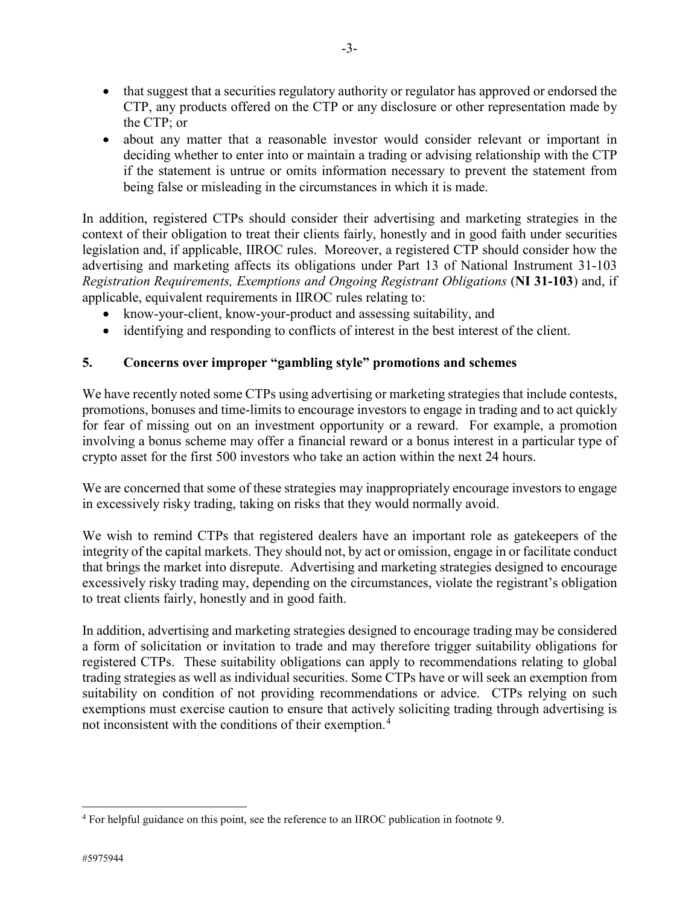- that suggest that a securities regulatory authority or regulator has approved or endorsed the CTP, any products offered on the CTP or any disclosure or other representation made by the CTP; or
- about any matter that a reasonable investor would consider relevant or important in deciding whether to enter into or maintain a trading or advising relationship with the CTP if the statement is untrue or omits information necessary to prevent the statement from being false or misleading in the circumstances in which it is made.

In addition, registered CTPs should consider their advertising and marketing strategies in the context of their obligation to treat their clients fairly, honestly and in good faith under securities legislation and, if applicable, IIROC rules. Moreover, a registered CTP should consider how the advertising and marketing affects its obligations under Part 13 of National Instrument 31-103 *Registration Requirements, Exemptions and Ongoing Registrant Obligations* (**NI 31-103**) and, if applicable, equivalent requirements in IIROC rules relating to:

- know-your-client, know-your-product and assessing suitability, and
- identifying and responding to conflicts of interest in the best interest of the client.

# **5. Concerns over improper "gambling style" promotions and schemes**

We have recently noted some CTPs using advertising or marketing strategies that include contests, promotions, bonuses and time-limits to encourage investors to engage in trading and to act quickly for fear of missing out on an investment opportunity or a reward. For example, a promotion involving a bonus scheme may offer a financial reward or a bonus interest in a particular type of crypto asset for the first 500 investors who take an action within the next 24 hours.

We are concerned that some of these strategies may inappropriately encourage investors to engage in excessively risky trading, taking on risks that they would normally avoid.

We wish to remind CTPs that registered dealers have an important role as gatekeepers of the integrity of the capital markets. They should not, by act or omission, engage in or facilitate conduct that brings the market into disrepute. Advertising and marketing strategies designed to encourage excessively risky trading may, depending on the circumstances, violate the registrant's obligation to treat clients fairly, honestly and in good faith.

In addition, advertising and marketing strategies designed to encourage trading may be considered a form of solicitation or invitation to trade and may therefore trigger suitability obligations for registered CTPs. These suitability obligations can apply to recommendations relating to global trading strategies as well as individual securities. Some CTPs have or will seek an exemption from suitability on condition of not providing recommendations or advice. CTPs relying on such exemptions must exercise caution to ensure that actively soliciting trading through advertising is not inconsistent with the conditions of their exemption.<sup>[4](#page-2-0)</sup>

 $\overline{\phantom{a}}$ 

<span id="page-2-0"></span><sup>4</sup> For helpful guidance on this point, see the reference to an IIROC publication in footnote 9.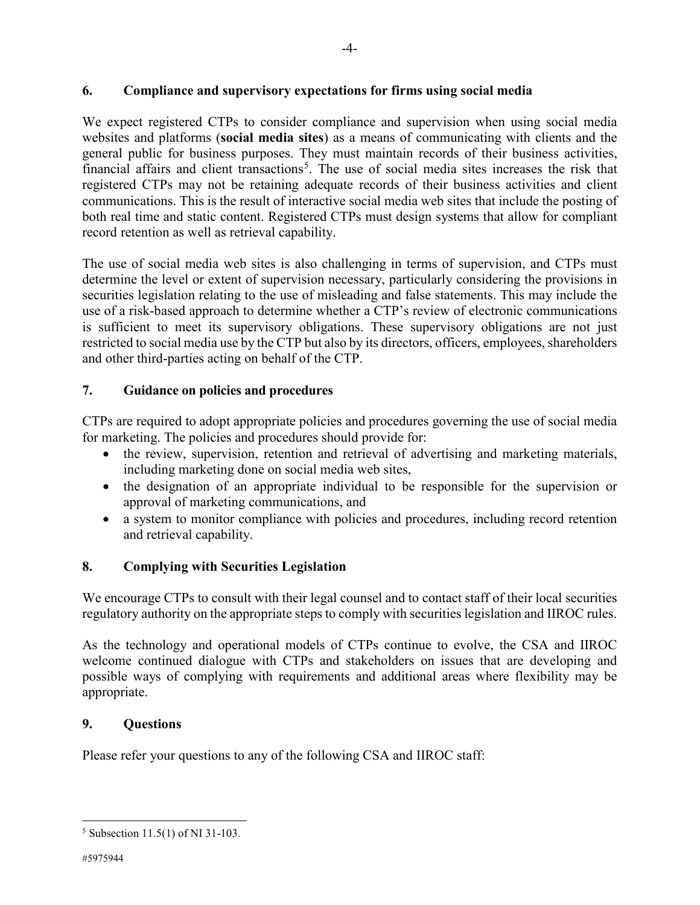We expect registered CTPs to consider compliance and supervision when using social media websites and platforms (**social media sites**) as a means of communicating with clients and the general public for business purposes. They must maintain records of their business activities, financial affairs and client transactions<sup>[5](#page-3-0)</sup>. The use of social media sites increases the risk that registered CTPs may not be retaining adequate records of their business activities and client communications. This is the result of interactive social media web sites that include the posting of both real time and static content. Registered CTPs must design systems that allow for compliant record retention as well as retrieval capability.

The use of social media web sites is also challenging in terms of supervision, and CTPs must determine the level or extent of supervision necessary, particularly considering the provisions in securities legislation relating to the use of misleading and false statements. This may include the use of a risk-based approach to determine whether a CTP's review of electronic communications is sufficient to meet its supervisory obligations. These supervisory obligations are not just restricted to social media use by the CTP but also by its directors, officers, employees, shareholders and other third-parties acting on behalf of the CTP.

# **7. Guidance on policies and procedures**

CTPs are required to adopt appropriate policies and procedures governing the use of social media for marketing. The policies and procedures should provide for:

- the review, supervision, retention and retrieval of advertising and marketing materials, including marketing done on social media web sites,
- the designation of an appropriate individual to be responsible for the supervision or approval of marketing communications, and
- a system to monitor compliance with policies and procedures, including record retention and retrieval capability.

# **8. Complying with Securities Legislation**

We encourage CTPs to consult with their legal counsel and to contact staff of their local securities regulatory authority on the appropriate steps to comply with securities legislation and IIROC rules.

As the technology and operational models of CTPs continue to evolve, the CSA and IIROC welcome continued dialogue with CTPs and stakeholders on issues that are developing and possible ways of complying with requirements and additional areas where flexibility may be appropriate.

# **9. Questions**

Please refer your questions to any of the following CSA and IIROC staff:

 $\overline{a}$ 

<span id="page-3-0"></span><sup>5</sup> Subsection 11.5(1) of NI 31-103.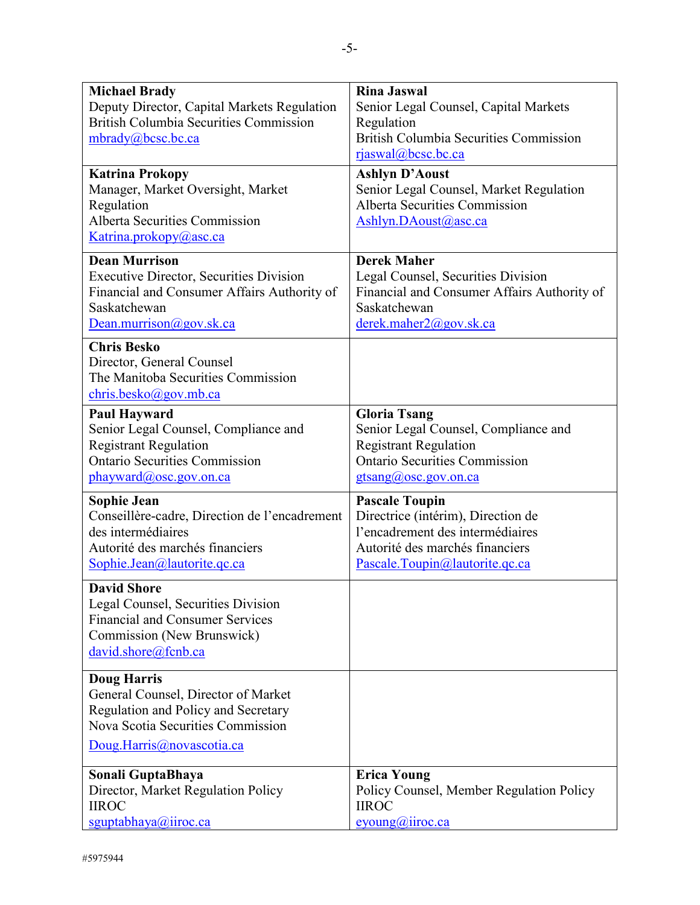| <b>Michael Brady</b>                                                                                                                 | <b>Rina Jaswal</b>                                                                                                               |
|--------------------------------------------------------------------------------------------------------------------------------------|----------------------------------------------------------------------------------------------------------------------------------|
| Deputy Director, Capital Markets Regulation                                                                                          | Senior Legal Counsel, Capital Markets                                                                                            |
| <b>British Columbia Securities Commission</b>                                                                                        | Regulation                                                                                                                       |
| mbrady@bcsc.bc.ca                                                                                                                    | <b>British Columbia Securities Commission</b>                                                                                    |
|                                                                                                                                      | rjaswal@bcsc.bc.ca                                                                                                               |
| <b>Katrina Prokopy</b><br>Manager, Market Oversight, Market<br>Regulation<br>Alberta Securities Commission<br>Katrina.prokopy@asc.ca | <b>Ashlyn D'Aoust</b><br>Senior Legal Counsel, Market Regulation<br><b>Alberta Securities Commission</b><br>Ashlyn.DAoust@asc.ca |
| <b>Dean Murrison</b>                                                                                                                 | <b>Derek Maher</b>                                                                                                               |
| <b>Executive Director, Securities Division</b>                                                                                       | Legal Counsel, Securities Division                                                                                               |
| Financial and Consumer Affairs Authority of                                                                                          | Financial and Consumer Affairs Authority of                                                                                      |
| Saskatchewan                                                                                                                         | Saskatchewan                                                                                                                     |
| Dean.murrison@gov.sk.ca                                                                                                              | derek.maher2@gov.sk.ca                                                                                                           |
| <b>Chris Besko</b><br>Director, General Counsel<br>The Manitoba Securities Commission<br>chris.besko@gov.mb.ca                       |                                                                                                                                  |
| <b>Paul Hayward</b>                                                                                                                  | <b>Gloria Tsang</b>                                                                                                              |
| Senior Legal Counsel, Compliance and                                                                                                 | Senior Legal Counsel, Compliance and                                                                                             |
| <b>Registrant Regulation</b>                                                                                                         | <b>Registrant Regulation</b>                                                                                                     |
| <b>Ontario Securities Commission</b>                                                                                                 | <b>Ontario Securities Commission</b>                                                                                             |
| phayward@osc.gov.on.ca                                                                                                               | gtsang@osc.gov.on.ca                                                                                                             |
| <b>Sophie Jean</b>                                                                                                                   | <b>Pascale Toupin</b>                                                                                                            |
| Conseillère-cadre, Direction de l'encadrement                                                                                        | Directrice (intérim), Direction de                                                                                               |
| des intermédiaires                                                                                                                   | l'encadrement des intermédiaires                                                                                                 |
| Autorité des marchés financiers                                                                                                      | Autorité des marchés financiers                                                                                                  |
| Sophie.Jean@lautorite.qc.ca                                                                                                          | Pascale.Toupin@lautorite.qc.ca                                                                                                   |
| <b>David Shore</b>                                                                                                                   |                                                                                                                                  |
| Legal Counsel, Securities Division                                                                                                   |                                                                                                                                  |
| <b>Financial and Consumer Services</b>                                                                                               |                                                                                                                                  |
| Commission (New Brunswick)                                                                                                           |                                                                                                                                  |
| david.shore@fcnb.ca                                                                                                                  |                                                                                                                                  |
| <b>Doug Harris</b>                                                                                                                   |                                                                                                                                  |
| General Counsel, Director of Market                                                                                                  |                                                                                                                                  |
| Regulation and Policy and Secretary                                                                                                  |                                                                                                                                  |
| Nova Scotia Securities Commission                                                                                                    |                                                                                                                                  |
| Doug.Harris@novascotia.ca                                                                                                            |                                                                                                                                  |
| Sonali GuptaBhaya                                                                                                                    | <b>Erica Young</b>                                                                                                               |
| Director, Market Regulation Policy                                                                                                   | Policy Counsel, Member Regulation Policy                                                                                         |
| <b>IIROC</b>                                                                                                                         | <b>IIROC</b>                                                                                                                     |
| sguptabhaya@iiroc.ca                                                                                                                 | $evoung(\hat{a})$ iiroc.ca                                                                                                       |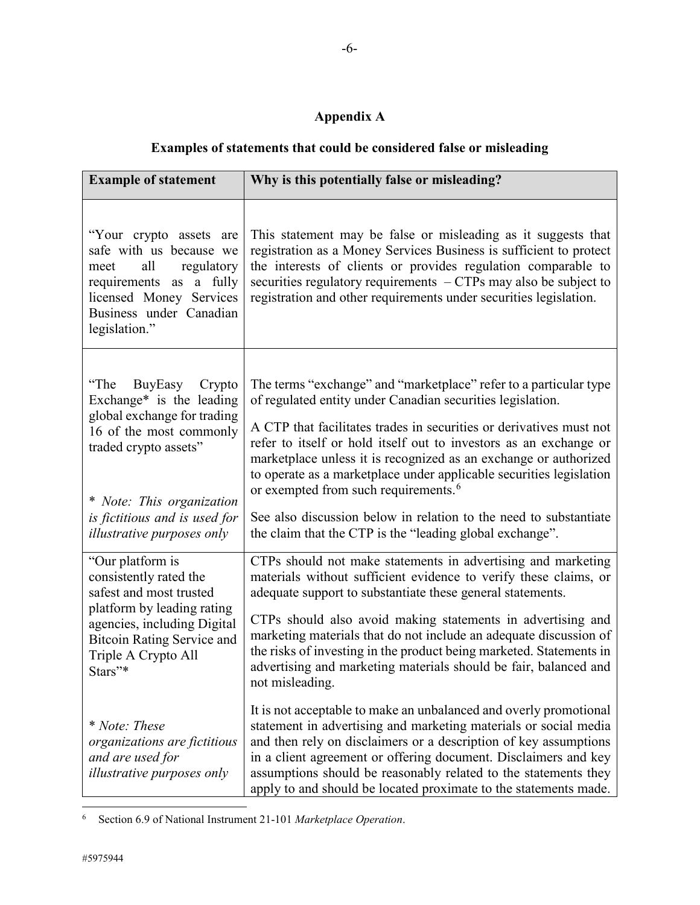# **Appendix A**

# **Examples of statements that could be considered false or misleading**

| <b>Example of statement</b>                                                                                                                                                                                                              | Why is this potentially false or misleading?                                                                                                                                                                                                                                                                                                                                                                                                                                                                                                                                                                |
|------------------------------------------------------------------------------------------------------------------------------------------------------------------------------------------------------------------------------------------|-------------------------------------------------------------------------------------------------------------------------------------------------------------------------------------------------------------------------------------------------------------------------------------------------------------------------------------------------------------------------------------------------------------------------------------------------------------------------------------------------------------------------------------------------------------------------------------------------------------|
| "Your crypto assets are<br>safe with us because we<br>all<br>regulatory<br>meet<br>requirements as a fully<br>licensed Money Services<br>Business under Canadian<br>legislation."                                                        | This statement may be false or misleading as it suggests that<br>registration as a Money Services Business is sufficient to protect<br>the interests of clients or provides regulation comparable to<br>securities regulatory requirements $-CTPs$ may also be subject to<br>registration and other requirements under securities legislation.                                                                                                                                                                                                                                                              |
| "The<br>BuyEasy Crypto<br>Exchange* is the leading<br>global exchange for trading<br>16 of the most commonly<br>traded crypto assets"<br>* Note: This organization<br>is fictitious and is used for<br><i>illustrative purposes only</i> | The terms "exchange" and "marketplace" refer to a particular type<br>of regulated entity under Canadian securities legislation.<br>A CTP that facilitates trades in securities or derivatives must not<br>refer to itself or hold itself out to investors as an exchange or<br>marketplace unless it is recognized as an exchange or authorized<br>to operate as a marketplace under applicable securities legislation<br>or exempted from such requirements. <sup>6</sup><br>See also discussion below in relation to the need to substantiate<br>the claim that the CTP is the "leading global exchange". |
| "Our platform is<br>consistently rated the<br>safest and most trusted<br>platform by leading rating<br>agencies, including Digital<br><b>Bitcoin Rating Service and</b><br>Triple A Crypto All<br>Stars"*                                | CTPs should not make statements in advertising and marketing<br>materials without sufficient evidence to verify these claims, or<br>adequate support to substantiate these general statements.<br>CTPs should also avoid making statements in advertising and<br>marketing materials that do not include an adequate discussion of<br>the risks of investing in the product being marketed. Statements in<br>advertising and marketing materials should be fair, balanced and<br>not misleading.                                                                                                            |
| * Note: These<br>organizations are fictitious<br>and are used for<br><i>illustrative purposes only</i>                                                                                                                                   | It is not acceptable to make an unbalanced and overly promotional<br>statement in advertising and marketing materials or social media<br>and then rely on disclaimers or a description of key assumptions<br>in a client agreement or offering document. Disclaimers and key<br>assumptions should be reasonably related to the statements they<br>apply to and should be located proximate to the statements made.                                                                                                                                                                                         |

<span id="page-5-0"></span><sup>6</sup> Section 6.9 of National Instrument 21-101 *Marketplace Operation*.

 $\overline{\phantom{a}}$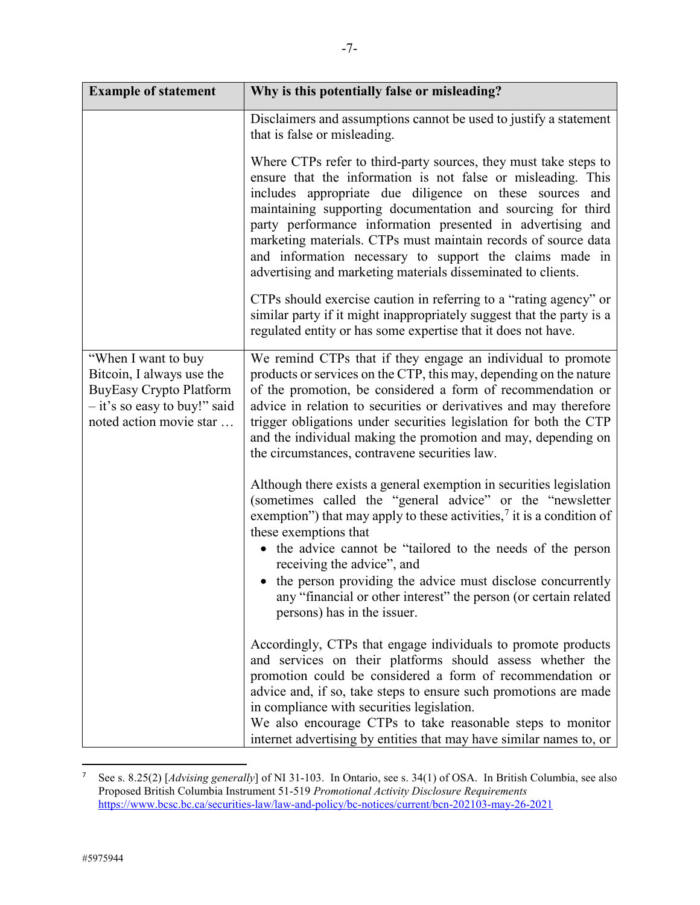| <b>Example of statement</b>                                                                                                                      | Why is this potentially false or misleading?                                                                                                                                                                                                                                                                                                                                                                                                                                                                          |
|--------------------------------------------------------------------------------------------------------------------------------------------------|-----------------------------------------------------------------------------------------------------------------------------------------------------------------------------------------------------------------------------------------------------------------------------------------------------------------------------------------------------------------------------------------------------------------------------------------------------------------------------------------------------------------------|
|                                                                                                                                                  | Disclaimers and assumptions cannot be used to justify a statement<br>that is false or misleading.                                                                                                                                                                                                                                                                                                                                                                                                                     |
|                                                                                                                                                  | Where CTPs refer to third-party sources, they must take steps to<br>ensure that the information is not false or misleading. This<br>includes appropriate due diligence on these sources and<br>maintaining supporting documentation and sourcing for third<br>party performance information presented in advertising and<br>marketing materials. CTPs must maintain records of source data<br>and information necessary to support the claims made in<br>advertising and marketing materials disseminated to clients. |
|                                                                                                                                                  | CTPs should exercise caution in referring to a "rating agency" or<br>similar party if it might inappropriately suggest that the party is a<br>regulated entity or has some expertise that it does not have.                                                                                                                                                                                                                                                                                                           |
| "When I want to buy"<br>Bitcoin, I always use the<br><b>BuyEasy Crypto Platform</b><br>$-$ it's so easy to buy!" said<br>noted action movie star | We remind CTPs that if they engage an individual to promote<br>products or services on the CTP, this may, depending on the nature<br>of the promotion, be considered a form of recommendation or<br>advice in relation to securities or derivatives and may therefore<br>trigger obligations under securities legislation for both the CTP<br>and the individual making the promotion and may, depending on<br>the circumstances, contravene securities law.                                                          |
|                                                                                                                                                  | Although there exists a general exemption in securities legislation<br>(sometimes called the "general advice" or the "newsletter<br>exemption") that may apply to these activities, $\frac{7}{1}$ it is a condition of<br>these exemptions that<br>• the advice cannot be "tailored to the needs of the person<br>receiving the advice", and<br>• the person providing the advice must disclose concurrently<br>any "financial or other interest" the person (or certain related<br>persons) has in the issuer.       |
|                                                                                                                                                  | Accordingly, CTPs that engage individuals to promote products<br>and services on their platforms should assess whether the<br>promotion could be considered a form of recommendation or<br>advice and, if so, take steps to ensure such promotions are made<br>in compliance with securities legislation.<br>We also encourage CTPs to take reasonable steps to monitor<br>internet advertising by entities that may have similar names to, or                                                                        |

<span id="page-6-0"></span> <sup>7</sup> See s. 8.25(2) [*Advising generally*] of NI 31-103. In Ontario, see s. 34(1) of OSA. In British Columbia, see also Proposed British Columbia Instrument 51-519 *Promotional Activity Disclosure Requirements* <https://www.bcsc.bc.ca/securities-law/law-and-policy/bc-notices/current/bcn-202103-may-26-2021>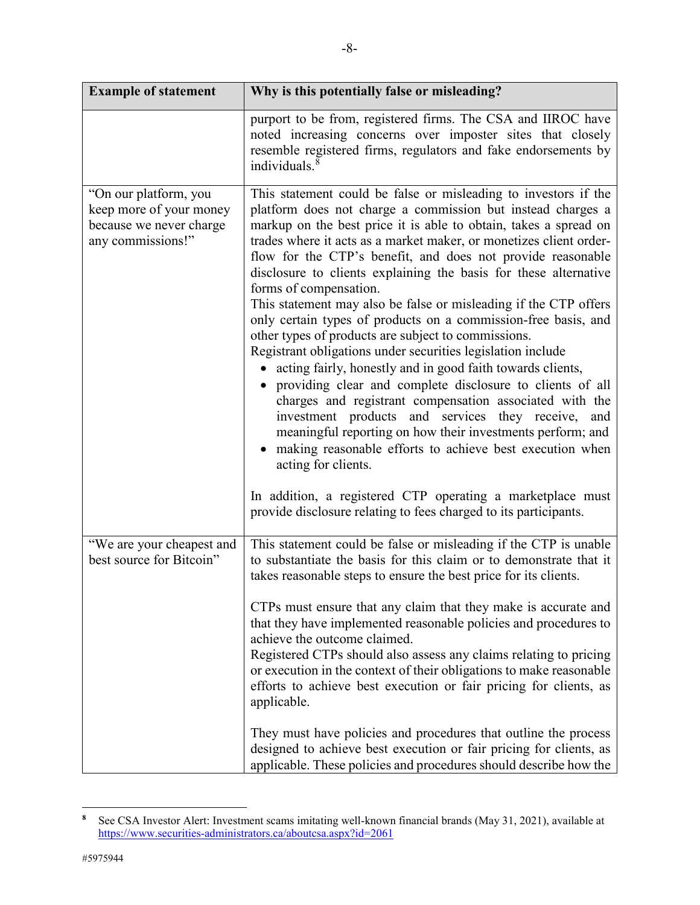| <b>Example of statement</b>                                                                      | Why is this potentially false or misleading?                                                                                                                                                                                                                                                                                                                                                                                                                                                                                                                                                                                                                                                                                                                                                                                                                                                                                                                                                                                                                                                                                                                                                                                         |
|--------------------------------------------------------------------------------------------------|--------------------------------------------------------------------------------------------------------------------------------------------------------------------------------------------------------------------------------------------------------------------------------------------------------------------------------------------------------------------------------------------------------------------------------------------------------------------------------------------------------------------------------------------------------------------------------------------------------------------------------------------------------------------------------------------------------------------------------------------------------------------------------------------------------------------------------------------------------------------------------------------------------------------------------------------------------------------------------------------------------------------------------------------------------------------------------------------------------------------------------------------------------------------------------------------------------------------------------------|
|                                                                                                  | purport to be from, registered firms. The CSA and IIROC have<br>noted increasing concerns over imposter sites that closely<br>resemble registered firms, regulators and fake endorsements by<br>individuals. $8$                                                                                                                                                                                                                                                                                                                                                                                                                                                                                                                                                                                                                                                                                                                                                                                                                                                                                                                                                                                                                     |
| "On our platform, you<br>keep more of your money<br>because we never charge<br>any commissions!" | This statement could be false or misleading to investors if the<br>platform does not charge a commission but instead charges a<br>markup on the best price it is able to obtain, takes a spread on<br>trades where it acts as a market maker, or monetizes client order-<br>flow for the CTP's benefit, and does not provide reasonable<br>disclosure to clients explaining the basis for these alternative<br>forms of compensation.<br>This statement may also be false or misleading if the CTP offers<br>only certain types of products on a commission-free basis, and<br>other types of products are subject to commissions.<br>Registrant obligations under securities legislation include<br>• acting fairly, honestly and in good faith towards clients,<br>providing clear and complete disclosure to clients of all<br>charges and registrant compensation associated with the<br>investment products and services they receive, and<br>meaningful reporting on how their investments perform; and<br>• making reasonable efforts to achieve best execution when<br>acting for clients.<br>In addition, a registered CTP operating a marketplace must<br>provide disclosure relating to fees charged to its participants. |
| "We are your cheapest and<br>best source for Bitcoin"                                            | This statement could be false or misleading if the CTP is unable<br>to substantiate the basis for this claim or to demonstrate that it<br>takes reasonable steps to ensure the best price for its clients.                                                                                                                                                                                                                                                                                                                                                                                                                                                                                                                                                                                                                                                                                                                                                                                                                                                                                                                                                                                                                           |
|                                                                                                  | CTPs must ensure that any claim that they make is accurate and<br>that they have implemented reasonable policies and procedures to<br>achieve the outcome claimed.<br>Registered CTPs should also assess any claims relating to pricing<br>or execution in the context of their obligations to make reasonable<br>efforts to achieve best execution or fair pricing for clients, as<br>applicable.                                                                                                                                                                                                                                                                                                                                                                                                                                                                                                                                                                                                                                                                                                                                                                                                                                   |
|                                                                                                  | They must have policies and procedures that outline the process<br>designed to achieve best execution or fair pricing for clients, as<br>applicable. These policies and procedures should describe how the                                                                                                                                                                                                                                                                                                                                                                                                                                                                                                                                                                                                                                                                                                                                                                                                                                                                                                                                                                                                                           |

<span id="page-7-0"></span> $\bf 8$ **<sup>8</sup>** See CSA Investor Alert: Investment scams imitating well-known financial brands (May 31, 2021), available at <https://www.securities-administrators.ca/aboutcsa.aspx?id=2061>